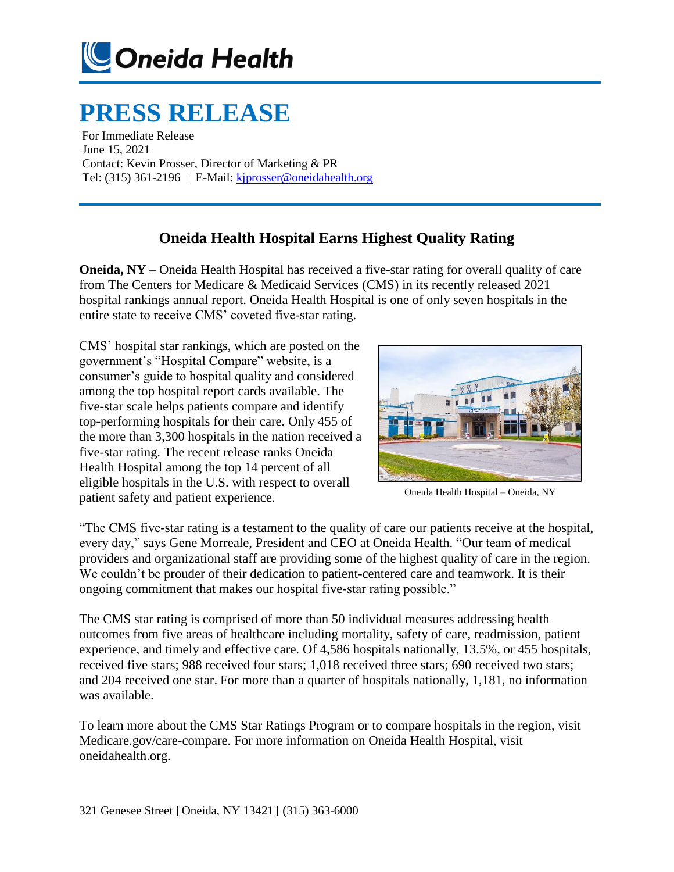

## **PRESS RELEASE**

For Immediate Release June 15, 2021 Contact: Kevin Prosser, Director of Marketing & PR Tel:  $(315)$  361-2196 | E-Mail[: kjprosser@oneidahealth.org](mailto:kjprosser@oneidahealth.org)

## **Oneida Health Hospital Earns Highest Quality Rating**

**Oneida, NY** – Oneida Health Hospital has received a five-star rating for overall quality of care from The Centers for Medicare & Medicaid Services (CMS) in its recently released 2021 hospital rankings annual report. Oneida Health Hospital is one of only seven hospitals in the entire state to receive CMS' coveted five-star rating.

CMS' hospital star rankings, which are posted on the government's "Hospital Compare" website, is a consumer's guide to hospital quality and considered among the top hospital report cards available. The five-star scale helps patients compare and identify top-performing hospitals for their care. Only 455 of the more than 3,300 hospitals in the nation received a five-star rating. The recent release ranks Oneida Health Hospital among the top 14 percent of all eligible hospitals in the U.S. with respect to overall patient safety and patient experience.



Oneida Health Hospital – Oneida, NY

"The CMS five-star rating is a testament to the quality of care our patients receive at the hospital, every day," says Gene Morreale, President and CEO at Oneida Health. "Our team of medical providers and organizational staff are providing some of the highest quality of care in the region. We couldn't be prouder of their dedication to patient-centered care and teamwork. It is their ongoing commitment that makes our hospital five-star rating possible."

The CMS star rating is comprised of more than 50 individual measures addressing health outcomes from five areas of healthcare including mortality, safety of care, readmission, patient experience, and timely and effective care. Of 4,586 hospitals nationally, 13.5%, or 455 hospitals, received five stars; 988 received four stars; 1,018 received three stars; 690 received two stars; and 204 received one star. For more than a quarter of hospitals nationally, 1,181, no information was available.

To learn more about the CMS Star Ratings Program or to compare hospitals in the region, visit Medicare.gov/care-compare. For more information on Oneida Health Hospital, visit oneidahealth.org.